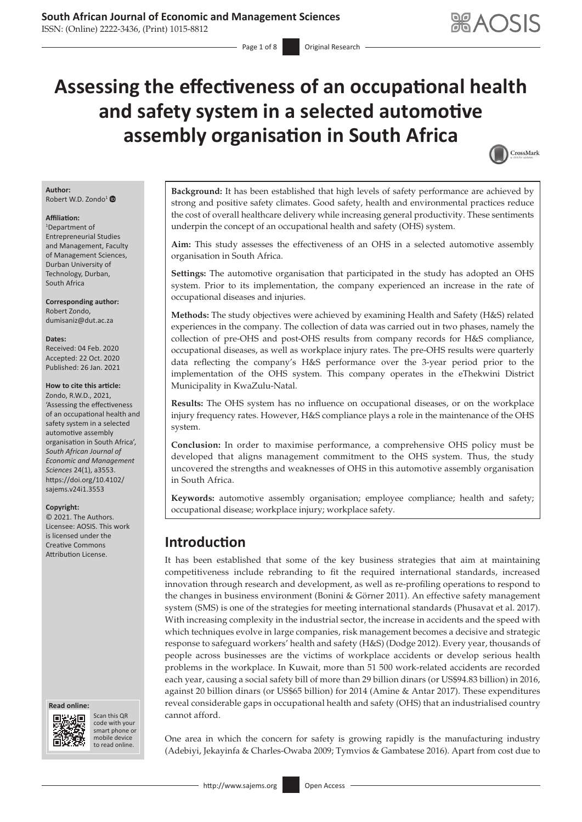# **Assessing the effectiveness of an occupational health and safety system in a selected automotive assembly organisation in South Africa**



#### **Author:** Robert W.D. Zondo<sup>[1](https://orcid.org/0000-0003-0214-860X)</sup>

#### **Affiliation:**

1 Department of Entrepreneurial Studies and Management, Faculty of Management Sciences, Durban University of Technology, Durban, South Africa

**Corresponding author:** Robert Zondo, [dumisaniz@dut.ac.za](mailto:dumisaniz@dut.ac.za)

#### **Dates:**

Received: 04 Feb. 2020 Accepted: 22 Oct. 2020 Published: 26 Jan. 2021

#### **How to cite this article:**

Zondo, R.W.D., 2021, 'Assessing the effectiveness of an occupational health and safety system in a selected automotive assembly organisation in South Africa', *South African Journal of Economic and Management Sciences* 24(1), a3553. [https://doi.org/10.4102/](https://doi.org/10.4102/sajems.v24i1.3553) [sajems.v24i1.3553](https://doi.org/10.4102/sajems.v24i1.3553)

#### **Copyright:**

© 2021. The Authors. Licensee: AOSIS. This work is licensed under the Creative Commons Attribution License.

#### **Read online: Read online:**



Scan this QR code with your Scan this QR<br>code with your<br>smart phone or<br>mobile device mobile device to read online. to read online.

**Background:** It has been established that high levels of safety performance are achieved by strong and positive safety climates. Good safety, health and environmental practices reduce the cost of overall healthcare delivery while increasing general productivity. These sentiments underpin the concept of an occupational health and safety (OHS) system.

**Aim:** This study assesses the effectiveness of an OHS in a selected automotive assembly organisation in South Africa.

**Settings:** The automotive organisation that participated in the study has adopted an OHS system. Prior to its implementation, the company experienced an increase in the rate of occupational diseases and injuries.

**Methods:** The study objectives were achieved by examining Health and Safety (H&S) related experiences in the company. The collection of data was carried out in two phases, namely the collection of pre-OHS and post-OHS results from company records for H&S compliance, occupational diseases, as well as workplace injury rates. The pre-OHS results were quarterly data reflecting the company's H&S performance over the 3-year period prior to the implementation of the OHS system. This company operates in the eThekwini District Municipality in KwaZulu-Natal.

**Results:** The OHS system has no influence on occupational diseases, or on the workplace injury frequency rates. However, H&S compliance plays a role in the maintenance of the OHS system.

**Conclusion:** In order to maximise performance, a comprehensive OHS policy must be developed that aligns management commitment to the OHS system. Thus, the study uncovered the strengths and weaknesses of OHS in this automotive assembly organisation in South Africa.

**Keywords:** automotive assembly organisation; employee compliance; health and safety; occupational disease; workplace injury; workplace safety.

# **Introduction**

It has been established that some of the key business strategies that aim at maintaining competitiveness include rebranding to fit the required international standards, increased innovation through research and development, as well as re-profiling operations to respond to the changes in business environment (Bonini & Görner 2011). An effective safety management system (SMS) is one of the strategies for meeting international standards (Phusavat et al. 2017). With increasing complexity in the industrial sector, the increase in accidents and the speed with which techniques evolve in large companies, risk management becomes a decisive and strategic response to safeguard workers' health and safety (H&S) (Dodge 2012). Every year, thousands of people across businesses are the victims of workplace accidents or develop serious health problems in the workplace. In Kuwait, more than 51 500 work-related accidents are recorded each year, causing a social safety bill of more than 29 billion dinars (or US\$94.83 billion) in 2016, against 20 billion dinars (or US\$65 billion) for 2014 (Amine & Antar 2017). These expenditures reveal considerable gaps in occupational health and safety (OHS) that an industrialised country cannot afford.

One area in which the concern for safety is growing rapidly is the manufacturing industry (Adebiyi, Jekayinfa & Charles-Owaba 2009; Tymvios & Gambatese 2016). Apart from cost due to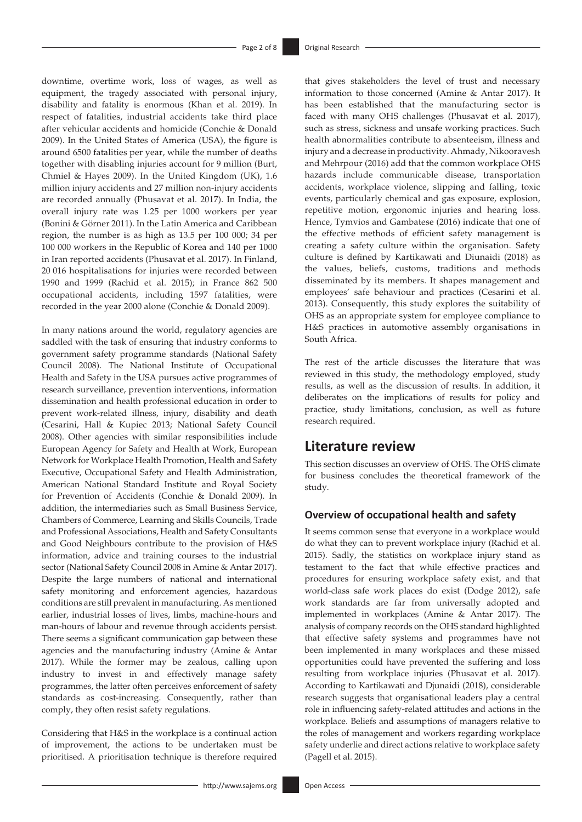downtime, overtime work, loss of wages, as well as equipment, the tragedy associated with personal injury, disability and fatality is enormous (Khan et al. 2019). In respect of fatalities, industrial accidents take third place after vehicular accidents and homicide (Conchie & Donald 2009). In the United States of America (USA), the figure is around 6500 fatalities per year, while the number of deaths together with disabling injuries account for 9 million (Burt, Chmiel & Hayes 2009). In the United Kingdom (UK), 1.6 million injury accidents and 27 million non-injury accidents are recorded annually (Phusavat et al. 2017). In India, the overall injury rate was 1.25 per 1000 workers per year (Bonini & Görner 2011). In the Latin America and Caribbean region, the number is as high as 13.5 per 100 000; 34 per 100 000 workers in the Republic of Korea and 140 per 1000 in Iran reported accidents (Phusavat et al. 2017). In Finland, 20 016 hospitalisations for injuries were recorded between 1990 and 1999 (Rachid et al. 2015); in France 862 500 occupational accidents, including 1597 fatalities, were recorded in the year 2000 alone (Conchie & Donald 2009).

In many nations around the world, regulatory agencies are saddled with the task of ensuring that industry conforms to government safety programme standards (National Safety Council 2008). The National Institute of Occupational Health and Safety in the USA pursues active programmes of research surveillance, prevention interventions, information dissemination and health professional education in order to prevent work-related illness, injury, disability and death (Cesarini, Hall & Kupiec 2013; National Safety Council 2008). Other agencies with similar responsibilities include European Agency for Safety and Health at Work, European Network for Workplace Health Promotion, Health and Safety Executive, Occupational Safety and Health Administration, American National Standard Institute and Royal Society for Prevention of Accidents (Conchie & Donald 2009). In addition, the intermediaries such as Small Business Service, Chambers of Commerce, Learning and Skills Councils, Trade and Professional Associations, Health and Safety Consultants and Good Neighbours contribute to the provision of H&S information, advice and training courses to the industrial sector (National Safety Council 2008 in Amine & Antar 2017). Despite the large numbers of national and international safety monitoring and enforcement agencies, hazardous conditions are still prevalent in manufacturing. As mentioned earlier, industrial losses of lives, limbs, machine-hours and man-hours of labour and revenue through accidents persist. There seems a significant communication gap between these agencies and the manufacturing industry (Amine & Antar 2017). While the former may be zealous, calling upon industry to invest in and effectively manage safety programmes, the latter often perceives enforcement of safety standards as cost-increasing. Consequently, rather than comply, they often resist safety regulations.

Considering that H&S in the workplace is a continual action of improvement, the actions to be undertaken must be prioritised. A prioritisation technique is therefore required

that gives stakeholders the level of trust and necessary information to those concerned (Amine & Antar 2017). It has been established that the manufacturing sector is faced with many OHS challenges (Phusavat et al. 2017), such as stress, sickness and unsafe working practices. Such health abnormalities contribute to absenteeism, illness and injury and a decrease in productivity. Ahmady, Nikooravesh and Mehrpour (2016) add that the common workplace OHS hazards include communicable disease, transportation accidents, workplace violence, slipping and falling, toxic events, particularly chemical and gas exposure, explosion, repetitive motion, ergonomic injuries and hearing loss. Hence, Tymvios and Gambatese (2016) indicate that one of the effective methods of efficient safety management is creating a safety culture within the organisation. Safety culture is defined by Kartikawati and Diunaidi (2018) as the values, beliefs, customs, traditions and methods disseminated by its members. It shapes management and employees' safe behaviour and practices (Cesarini et al. 2013). Consequently, this study explores the suitability of OHS as an appropriate system for employee compliance to H&S practices in automotive assembly organisations in South Africa.

The rest of the article discusses the literature that was reviewed in this study, the methodology employed, study results, as well as the discussion of results. In addition, it deliberates on the implications of results for policy and practice, study limitations, conclusion, as well as future research required.

### **Literature review**

This section discusses an overview of OHS. The OHS climate for business concludes the theoretical framework of the study.

### **Overview of occupational health and safety**

It seems common sense that everyone in a workplace would do what they can to prevent workplace injury (Rachid et al. 2015). Sadly, the statistics on workplace injury stand as testament to the fact that while effective practices and procedures for ensuring workplace safety exist, and that world-class safe work places do exist (Dodge 2012), safe work standards are far from universally adopted and implemented in workplaces (Amine & Antar 2017). The analysis of company records on the OHS standard highlighted that effective safety systems and programmes have not been implemented in many workplaces and these missed opportunities could have prevented the suffering and loss resulting from workplace injuries (Phusavat et al. 2017). According to Kartikawati and Djunaidi (2018), considerable research suggests that organisational leaders play a central role in influencing safety-related attitudes and actions in the workplace. Beliefs and assumptions of managers relative to the roles of management and workers regarding workplace safety underlie and direct actions relative to workplace safety (Pagell et al. 2015).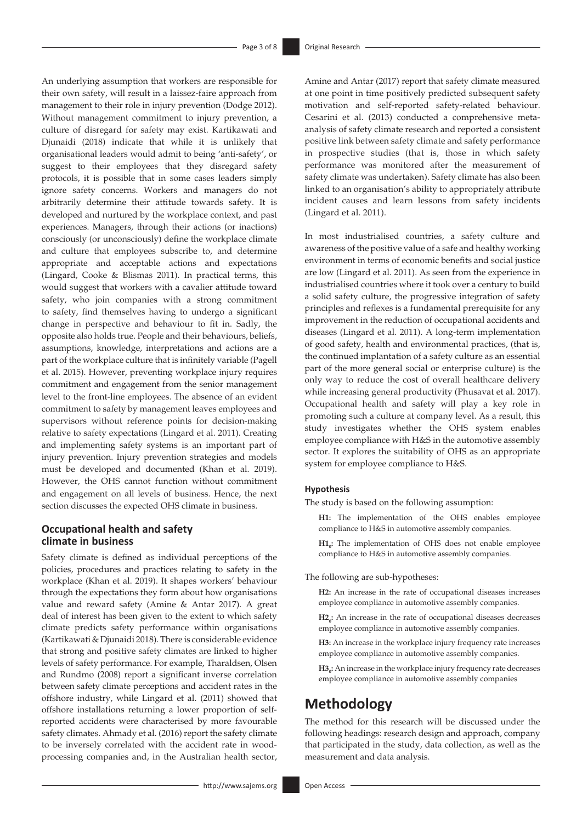An underlying assumption that workers are responsible for their own safety, will result in a laissez-faire approach from management to their role in injury prevention (Dodge 2012). Without management commitment to injury prevention, a culture of disregard for safety may exist. Kartikawati and Djunaidi (2018) indicate that while it is unlikely that organisational leaders would admit to being 'anti-safety', or suggest to their employees that they disregard safety protocols, it is possible that in some cases leaders simply ignore safety concerns. Workers and managers do not arbitrarily determine their attitude towards safety. It is developed and nurtured by the workplace context, and past experiences. Managers, through their actions (or inactions) consciously (or unconsciously) define the workplace climate and culture that employees subscribe to, and determine appropriate and acceptable actions and expectations (Lingard, Cooke & Blismas 2011). In practical terms, this would suggest that workers with a cavalier attitude toward safety, who join companies with a strong commitment to safety, find themselves having to undergo a significant change in perspective and behaviour to fit in. Sadly, the opposite also holds true. People and their behaviours, beliefs, assumptions, knowledge, interpretations and actions are a part of the workplace culture that is infinitely variable (Pagell et al. 2015). However, preventing workplace injury requires commitment and engagement from the senior management level to the front-line employees. The absence of an evident commitment to safety by management leaves employees and supervisors without reference points for decision-making relative to safety expectations (Lingard et al. 2011). Creating and implementing safety systems is an important part of injury prevention. Injury prevention strategies and models must be developed and documented (Khan et al. 2019). However, the OHS cannot function without commitment and engagement on all levels of business. Hence, the next section discusses the expected OHS climate in business.

### **Occupational health and safety climate in business**

Safety climate is defined as individual perceptions of the policies, procedures and practices relating to safety in the workplace (Khan et al. 2019). It shapes workers' behaviour through the expectations they form about how organisations value and reward safety (Amine & Antar 2017). A great deal of interest has been given to the extent to which safety climate predicts safety performance within organisations (Kartikawati & Djunaidi 2018). There is considerable evidence that strong and positive safety climates are linked to higher levels of safety performance. For example, Tharaldsen, Olsen and Rundmo (2008) report a significant inverse correlation between safety climate perceptions and accident rates in the offshore industry, while Lingard et al. (2011) showed that offshore installations returning a lower proportion of selfreported accidents were characterised by more favourable safety climates. Ahmady et al. (2016) report the safety climate to be inversely correlated with the accident rate in woodprocessing companies and, in the Australian health sector, Amine and Antar (2017) report that safety climate measured at one point in time positively predicted subsequent safety motivation and self-reported safety-related behaviour. Cesarini et al. (2013) conducted a comprehensive metaanalysis of safety climate research and reported a consistent positive link between safety climate and safety performance in prospective studies (that is, those in which safety performance was monitored after the measurement of safety climate was undertaken). Safety climate has also been linked to an organisation's ability to appropriately attribute incident causes and learn lessons from safety incidents (Lingard et al. 2011).

In most industrialised countries, a safety culture and awareness of the positive value of a safe and healthy working environment in terms of economic benefits and social justice are low (Lingard et al. 2011). As seen from the experience in industrialised countries where it took over a century to build a solid safety culture, the progressive integration of safety principles and reflexes is a fundamental prerequisite for any improvement in the reduction of occupational accidents and diseases (Lingard et al. 2011). A long-term implementation of good safety, health and environmental practices, (that is, the continued implantation of a safety culture as an essential part of the more general social or enterprise culture) is the only way to reduce the cost of overall healthcare delivery while increasing general productivity (Phusavat et al. 2017). Occupational health and safety will play a key role in promoting such a culture at company level. As a result, this study investigates whether the OHS system enables employee compliance with H&S in the automotive assembly sector. It explores the suitability of OHS as an appropriate system for employee compliance to H&S.

#### **Hypothesis**

The study is based on the following assumption:

- **H1:** The implementation of the OHS enables employee compliance to H&S in automotive assembly companies.
- **H1**<sub>0</sub>: The implementation of OHS does not enable employee compliance to H&S in automotive assembly companies.

The following are sub-hypotheses:

- **H2:** An increase in the rate of occupational diseases increases employee compliance in automotive assembly companies.
- H<sub>2<sub>0</sub></sub>: An increase in the rate of occupational diseases decreases employee compliance in automotive assembly companies.
- **H3:** An increase in the workplace injury frequency rate increases employee compliance in automotive assembly companies.
- H3<sub>0</sub>: An increase in the workplace injury frequency rate decreases employee compliance in automotive assembly companies

# **Methodology**

The method for this research will be discussed under the following headings: research design and approach, company that participated in the study, data collection, as well as the measurement and data analysis.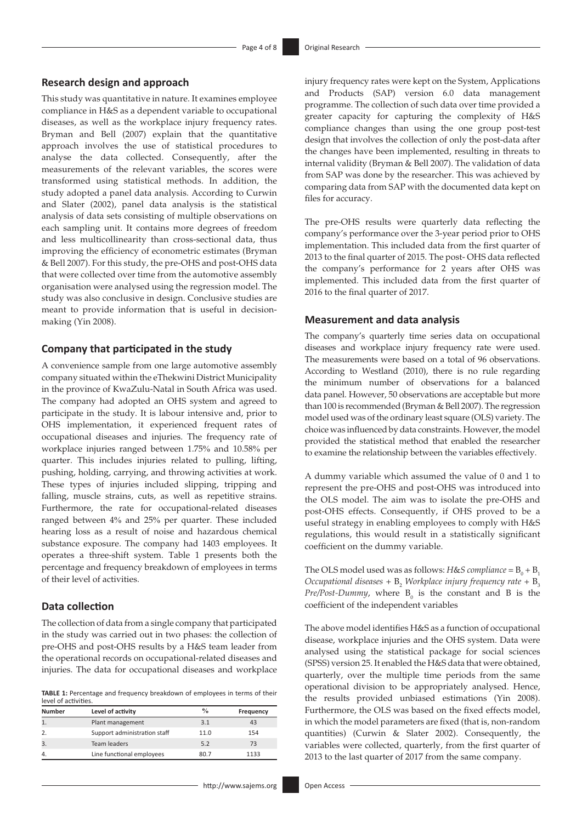#### **Research design and approach**

This study was quantitative in nature. It examines employee compliance in H&S as a dependent variable to occupational diseases, as well as the workplace injury frequency rates. Bryman and Bell (2007) explain that the quantitative approach involves the use of statistical procedures to analyse the data collected. Consequently, after the measurements of the relevant variables, the scores were transformed using statistical methods. In addition, the study adopted a panel data analysis. According to Curwin and Slater (2002), panel data analysis is the statistical analysis of data sets consisting of multiple observations on each sampling unit. It contains more degrees of freedom and less multicollinearity than cross-sectional data, thus improving the efficiency of econometric estimates (Bryman & Bell 2007). For this study, the pre-OHS and post-OHS data that were collected over time from the automotive assembly organisation were analysed using the regression model. The study was also conclusive in design. Conclusive studies are meant to provide information that is useful in decisionmaking (Yin 2008).

#### **Company that participated in the study**

A convenience sample from one large automotive assembly company situated within the eThekwini District Municipality in the province of KwaZulu-Natal in South Africa was used. The company had adopted an OHS system and agreed to participate in the study. It is labour intensive and, prior to OHS implementation, it experienced frequent rates of occupational diseases and injuries. The frequency rate of workplace injuries ranged between 1.75% and 10.58% per quarter. This includes injuries related to pulling, lifting, pushing, holding, carrying, and throwing activities at work. These types of injuries included slipping, tripping and falling, muscle strains, cuts, as well as repetitive strains. Furthermore, the rate for occupational-related diseases ranged between 4% and 25% per quarter. These included hearing loss as a result of noise and hazardous chemical substance exposure. The company had 1403 employees. It operates a three-shift system. Table 1 presents both the percentage and frequency breakdown of employees in terms of their level of activities.

### **Data collection**

The collection of data from a single company that participated in the study was carried out in two phases: the collection of pre-OHS and post-OHS results by a H&S team leader from the operational records on occupational-related diseases and injuries. The data for occupational diseases and workplace

**TABLE 1:** Percentage and frequency breakdown of employees in terms of their level of activities.

| ICACI OI GULIAILICS. |                              |               |           |  |  |  |
|----------------------|------------------------------|---------------|-----------|--|--|--|
| <b>Number</b>        | Level of activity            | $\frac{0}{0}$ | Frequency |  |  |  |
|                      | Plant management             | 3.1           | 43        |  |  |  |
| 2.                   | Support administration staff | 11.0          | 154       |  |  |  |
| 3.                   | Team leaders                 | 5.2           | 73        |  |  |  |
| $\overline{4}$       | Line functional employees    | 80.7          | 1133      |  |  |  |

- <http://www.sajems.org> **Open Access** 

injury frequency rates were kept on the System, Applications and Products (SAP) version 6.0 data management programme. The collection of such data over time provided a greater capacity for capturing the complexity of H&S compliance changes than using the one group post-test design that involves the collection of only the post-data after the changes have been implemented, resulting in threats to internal validity (Bryman & Bell 2007). The validation of data from SAP was done by the researcher. This was achieved by comparing data from SAP with the documented data kept on files for accuracy.

The pre-OHS results were quarterly data reflecting the company's performance over the 3-year period prior to OHS implementation. This included data from the first quarter of 2013 to the final quarter of 2015. The post- OHS data reflected the company's performance for 2 years after OHS was implemented. This included data from the first quarter of 2016 to the final quarter of 2017.

#### **Measurement and data analysis**

The company's quarterly time series data on occupational diseases and workplace injury frequency rate were used. The measurements were based on a total of 96 observations. According to Westland (2010), there is no rule regarding the minimum number of observations for a balanced data panel. However, 50 observations are acceptable but more than 100 is recommended (Bryman & Bell 2007). The regression model used was of the ordinary least square (OLS) variety. The choice was influenced by data constraints. However, the model provided the statistical method that enabled the researcher to examine the relationship between the variables effectively.

A dummy variable which assumed the value of 0 and 1 to represent the pre-OHS and post-OHS was introduced into the OLS model. The aim was to isolate the pre-OHS and post-OHS effects. Consequently, if OHS proved to be a useful strategy in enabling employees to comply with H&S regulations, this would result in a statistically significant coefficient on the dummy variable.

The OLS model used was as follows: *H&S compliance* =  $B_0 + B_1$ *Occupational diseases* + B<sub>2</sub> *Workplace injury frequency rate* + B<sub>3</sub> *Pre/Post-Dummy*, where  $B_0$  is the constant and B is the coefficient of the independent variables

The above model identifies H&S as a function of occupational disease, workplace injuries and the OHS system. Data were analysed using the statistical package for social sciences (SPSS) version 25. It enabled the H&S data that were obtained, quarterly, over the multiple time periods from the same operational division to be appropriately analysed. Hence, the results provided unbiased estimations (Yin 2008). Furthermore, the OLS was based on the fixed effects model, in which the model parameters are fixed (that is, non-random quantities) (Curwin & Slater 2002). Consequently, the variables were collected, quarterly, from the first quarter of 2013 to the last quarter of 2017 from the same company.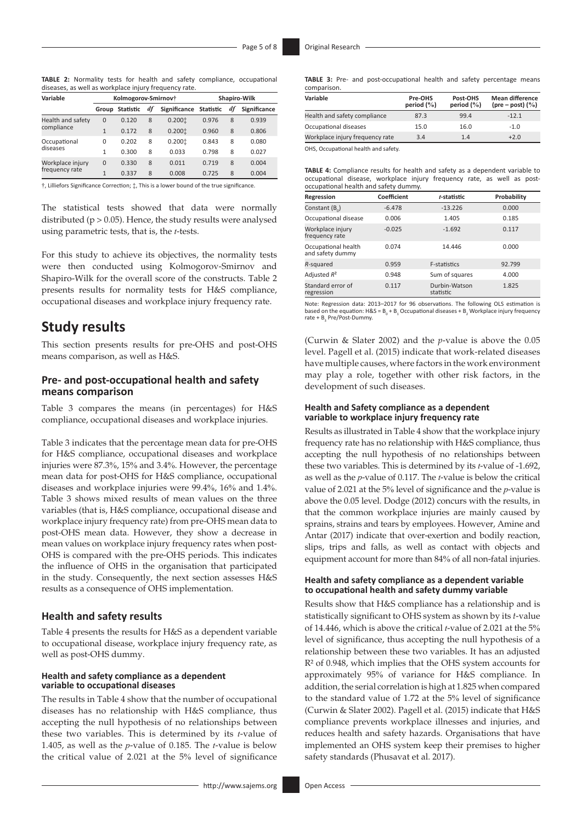**TABLE 2:** Normality tests for health and safety compliance, occupational diseases, as well as workplace injury frequency rate.

| Variable          |                | Kolmogorov-Smirnov+ |    | Shapiro-Wilk           |       |    |              |
|-------------------|----------------|---------------------|----|------------------------|-------|----|--------------|
|                   | Group          | <b>Statistic</b>    | df | Significance Statistic |       | df | Significance |
| Health and safety | $\mathbf 0$    | 0.120               | 8  | 0.2001                 | 0.976 | 8  | 0.939        |
| compliance        | $\mathbf{1}$   | 0.172               | 8  | 0.2001                 | 0.960 | 8  | 0.806        |
| Occupational      | $\Omega$       | 0.202               | 8  | 0.2001                 | 0.843 | 8  | 0.080        |
| diseases          | 1              | 0.300               | 8  | 0.033                  | 0.798 | 8  | 0.027        |
| Workplace injury  | $\mathbf 0$    | 0.330               | 8  | 0.011                  | 0.719 | 8  | 0.004        |
| frequency rate    | $\overline{1}$ | 0.337               | 8  | 0.008                  | 0.725 | 8  | 0.004        |
|                   |                |                     |    |                        |       |    |              |

†, Lilliefors Significance Correction; ‡, This is a lower bound of the true significance.

The statistical tests showed that data were normally distributed ( $p > 0.05$ ). Hence, the study results were analysed using parametric tests, that is, the *t*-tests.

For this study to achieve its objectives, the normality tests were then conducted using Kolmogorov-Smirnov and Shapiro-Wilk for the overall score of the constructs. Table 2 presents results for normality tests for H&S compliance, occupational diseases and workplace injury frequency rate.

### **Study results**

This section presents results for pre-OHS and post-OHS means comparison, as well as H&S.

### **Pre- and post-occupational health and safety means comparison**

Table 3 compares the means (in percentages) for H&S compliance, occupational diseases and workplace injuries.

Table 3 indicates that the percentage mean data for pre-OHS for H&S compliance, occupational diseases and workplace injuries were 87.3%, 15% and 3.4%. However, the percentage mean data for post-OHS for H&S compliance, occupational diseases and workplace injuries were 99.4%, 16% and 1.4%. Table 3 shows mixed results of mean values on the three variables (that is, H&S compliance, occupational disease and workplace injury frequency rate) from pre-OHS mean data to post-OHS mean data. However, they show a decrease in mean values on workplace injury frequency rates when post-OHS is compared with the pre-OHS periods. This indicates the influence of OHS in the organisation that participated in the study. Consequently, the next section assesses H&S results as a consequence of OHS implementation.

#### **Health and safety results**

Table 4 presents the results for H&S as a dependent variable to occupational disease, workplace injury frequency rate, as well as post-OHS dummy.

#### **Health and safety compliance as a dependent variable to occupational diseases**

The results in Table 4 show that the number of occupational diseases has no relationship with H&S compliance, thus accepting the null hypothesis of no relationships between these two variables. This is determined by its *t*-value of 1.405, as well as the *p*-value of 0.185. The *t*-value is below the critical value of 2.021 at the 5% level of significance

|             | <b>TABLE 3:</b> Pre- and post-occupational health and safety percentage means |  |  |  |
|-------------|-------------------------------------------------------------------------------|--|--|--|
| comparison. |                                                                               |  |  |  |

| Variable                            | Pre-OHS<br>period $(\% )$ | Post-OHS<br>period $(\% )$ | <b>Mean difference</b><br>(pre – post) $(\% )$ |
|-------------------------------------|---------------------------|----------------------------|------------------------------------------------|
| Health and safety compliance        | 87.3                      | 99.4                       | $-12.1$                                        |
| Occupational diseases               | 15.0                      | 16.0                       | $-1.0$                                         |
| Workplace injury frequency rate     | 3.4                       | 1.4                        | $+2.0$                                         |
| OUC Occupational health and safety. |                           |                            |                                                |

OHS, Occupational health and safety.

**TABLE 4:** Compliance results for health and safety as a dependent variable to occupational disease, workplace injury frequency rate, as well as postoccupational health and safety dummy.

| Regression                              | <b>Coefficient</b> | t-statistic                | Probability |
|-----------------------------------------|--------------------|----------------------------|-------------|
| Constant $(B_0)$                        | $-6.478$           | $-13.226$                  | 0.000       |
| Occupational disease                    | 0.006              | 1.405                      | 0.185       |
| Workplace injury<br>frequency rate      | $-0.025$           | $-1.692$                   | 0.117       |
| Occupational health<br>and safety dummy | 0.074              | 14.446                     | 0.000       |
| R-squared                               | 0.959              | <b>F-statistics</b>        | 92.799      |
| Adjusted $R^2$                          | 0.948              | Sum of squares             | 4.000       |
| Standard error of<br>regression         | 0.117              | Durbin-Watson<br>statistic | 1.825       |

Note: Regression data: 2013–2017 for 96 observations. The following OLS estimation is based on the equation:  $H \& S = B_0 + B_1$  Occupational diseases +  $B_2$  Workplace injury frequency rate +  $B_3$  Pre/Post-Dummy.

(Curwin & Slater 2002) and the *p*-value is above the 0.05 level. Pagell et al. (2015) indicate that work-related diseases have multiple causes, where factors in the work environment may play a role, together with other risk factors, in the development of such diseases.

#### **Health and Safety compliance as a dependent variable to workplace injury frequency rate**

Results as illustrated in Table 4 show that the workplace injury frequency rate has no relationship with H&S compliance, thus accepting the null hypothesis of no relationships between these two variables. This is determined by its *t*-value of -1.692, as well as the *p*-value of 0.117. The *t*-value is below the critical value of 2.021 at the 5% level of significance and the *p*-value is above the 0.05 level. Dodge (2012) concurs with the results, in that the common workplace injuries are mainly caused by sprains, strains and tears by employees. However, Amine and Antar (2017) indicate that over-exertion and bodily reaction, slips, trips and falls, as well as contact with objects and equipment account for more than 84% of all non-fatal injuries.

#### **Health and safety compliance as a dependent variable to occupational health and safety dummy variable**

Results show that H&S compliance has a relationship and is statistically significant to OHS system as shown by its *t*-value of 14.446, which is above the critical *t*-value of 2.021 at the 5% level of significance, thus accepting the null hypothesis of a relationship between these two variables. It has an adjusted R² of 0.948, which implies that the OHS system accounts for approximately 95% of variance for H&S compliance. In addition, the serial correlation is high at 1.825 when compared to the standard value of 1.72 at the 5% level of significance (Curwin & Slater 2002). Pagell et al. (2015) indicate that H&S compliance prevents workplace illnesses and injuries, and reduces health and safety hazards. Organisations that have implemented an OHS system keep their premises to higher safety standards (Phusavat et al. 2017).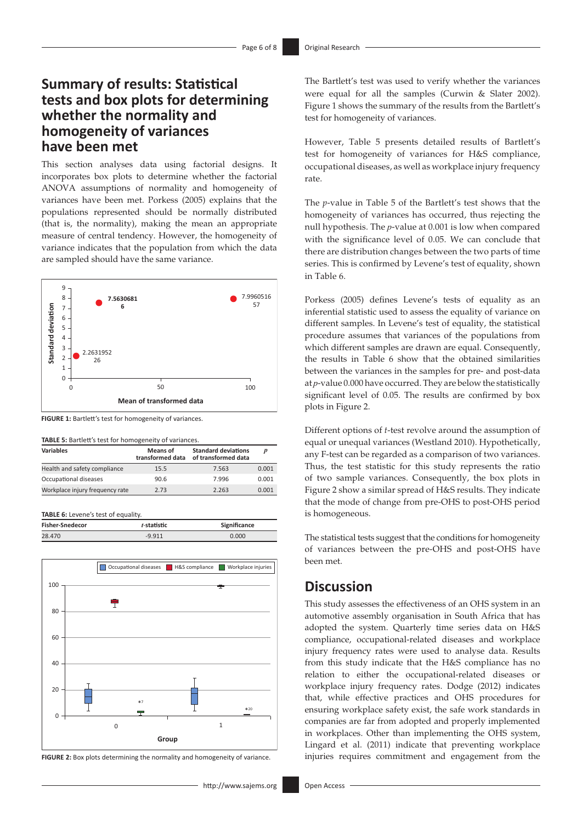# **Summary of results: Statistical tests and box plots for determining whether the normality and homogeneity of variances have been met**

This section analyses data using factorial designs. It incorporates box plots to determine whether the factorial ANOVA assumptions of normality and homogeneity of variances have been met. Porkess (2005) explains that the populations represented should be normally distributed (that is, the normality), making the mean an appropriate measure of central tendency. However, the homogeneity of variance indicates that the population from which the data are sampled should have the same variance.



**FIGURE 1:** Bartlett's test for homogeneity of variances.

|  |  |  |  |  |  | TABLE 5: Bartlett's test for homogeneity of variances. |  |  |
|--|--|--|--|--|--|--------------------------------------------------------|--|--|
|--|--|--|--|--|--|--------------------------------------------------------|--|--|

| <b>Variables</b>                | Means of<br>transformed data | <b>Standard deviations</b><br>of transformed data |       |
|---------------------------------|------------------------------|---------------------------------------------------|-------|
| Health and safety compliance    | 15.5                         | 7.563                                             | 0.001 |
| Occupational diseases           | 90.6                         | 7.996                                             | 0.001 |
| Workplace injury frequency rate | 2.73                         | 2.263                                             | 0.001 |

**TABLE 6:** Levene's test of equality

| <b>Fisher-Snedecor</b> | t-statistic | Significance |
|------------------------|-------------|--------------|
| 28.470                 | $-9.911$    | 0.000        |



**FIGURE 2:** Box plots determining the normality and homogeneity of variance.

The Bartlett's test was used to verify whether the variances were equal for all the samples (Curwin & Slater 2002). Figure 1 shows the summary of the results from the Bartlett's test for homogeneity of variances.

However, Table 5 presents detailed results of Bartlett's test for homogeneity of variances for H&S compliance, occupational diseases, as well as workplace injury frequency rate.

The *p*-value in Table 5 of the Bartlett's test shows that the homogeneity of variances has occurred, thus rejecting the null hypothesis. The *p*-value at 0.001 is low when compared with the significance level of 0.05. We can conclude that there are distribution changes between the two parts of time series. This is confirmed by Levene's test of equality, shown in Table 6.

Porkess (2005) defines Levene's tests of equality as an inferential statistic used to assess the equality of variance on different samples. In Levene's test of equality, the statistical procedure assumes that variances of the populations from which different samples are drawn are equal. Consequently, the results in Table 6 show that the obtained similarities between the variances in the samples for pre- and post-data at *p*-value 0.000 have occurred. They are below the statistically significant level of 0.05. The results are confirmed by box plots in Figure 2.

Different options of *t*-test revolve around the assumption of equal or unequal variances (Westland 2010). Hypothetically, any F-test can be regarded as a comparison of two variances. Thus, the test statistic for this study represents the ratio of two sample variances. Consequently, the box plots in Figure 2 show a similar spread of H&S results. They indicate that the mode of change from pre-OHS to post-OHS period is homogeneous.

The statistical tests suggest that the conditions for homogeneity of variances between the pre-OHS and post-OHS have been met.

### **Discussion**

This study assesses the effectiveness of an OHS system in an automotive assembly organisation in South Africa that has adopted the system. Quarterly time series data on H&S compliance, occupational-related diseases and workplace injury frequency rates were used to analyse data. Results from this study indicate that the H&S compliance has no relation to either the occupational-related diseases or workplace injury frequency rates. Dodge (2012) indicates that, while effective practices and OHS procedures for ensuring workplace safety exist, the safe work standards in companies are far from adopted and properly implemented in workplaces. Other than implementing the OHS system, Lingard et al. (2011) indicate that preventing workplace injuries requires commitment and engagement from the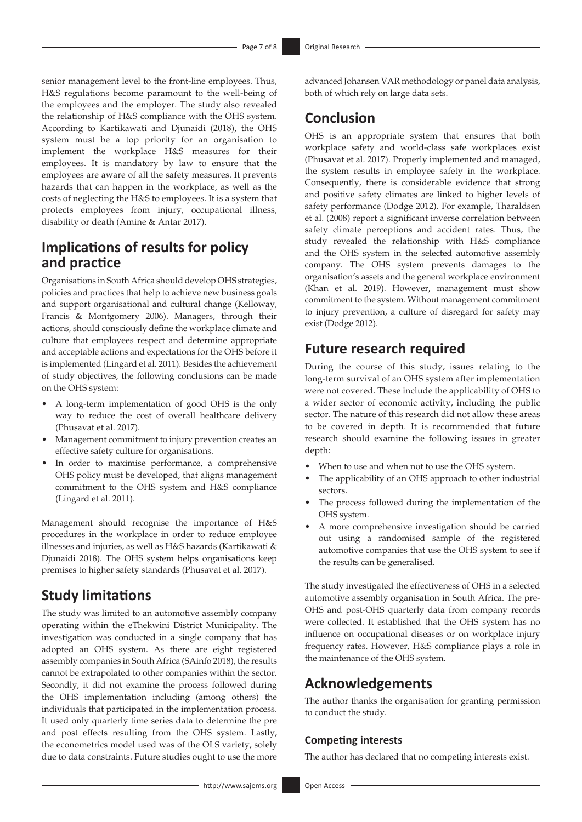senior management level to the front-line employees. Thus, H&S regulations become paramount to the well-being of the employees and the employer. The study also revealed the relationship of H&S compliance with the OHS system. According to Kartikawati and Djunaidi (2018), the OHS system must be a top priority for an organisation to implement the workplace H&S measures for their employees. It is mandatory by law to ensure that the employees are aware of all the safety measures. It prevents hazards that can happen in the workplace, as well as the costs of neglecting the H&S to employees. It is a system that protects employees from injury, occupational illness, disability or death (Amine & Antar 2017).

# **Implications of results for policy and practice**

Organisations in South Africa should develop OHS strategies, policies and practices that help to achieve new business goals and support organisational and cultural change (Kelloway, Francis & Montgomery 2006). Managers, through their actions, should consciously define the workplace climate and culture that employees respect and determine appropriate and acceptable actions and expectations for the OHS before it is implemented (Lingard et al. 2011). Besides the achievement of study objectives, the following conclusions can be made on the OHS system:

- A long-term implementation of good OHS is the only way to reduce the cost of overall healthcare delivery (Phusavat et al. 2017).
- Management commitment to injury prevention creates an effective safety culture for organisations.
- In order to maximise performance, a comprehensive OHS policy must be developed, that aligns management commitment to the OHS system and H&S compliance (Lingard et al. 2011).

Management should recognise the importance of H&S procedures in the workplace in order to reduce employee illnesses and injuries, as well as H&S hazards (Kartikawati & Djunaidi 2018). The OHS system helps organisations keep premises to higher safety standards (Phusavat et al. 2017).

# **Study limitations**

The study was limited to an automotive assembly company operating within the eThekwini District Municipality. The investigation was conducted in a single company that has adopted an OHS system. As there are eight registered assembly companies in South Africa (SAinfo 2018), the results cannot be extrapolated to other companies within the sector. Secondly, it did not examine the process followed during the OHS implementation including (among others) the individuals that participated in the implementation process. It used only quarterly time series data to determine the pre and post effects resulting from the OHS system. Lastly, the econometrics model used was of the OLS variety, solely due to data constraints. Future studies ought to use the more

advanced Johansen VAR methodology or panel data analysis, both of which rely on large data sets.

### **Conclusion**

OHS is an appropriate system that ensures that both workplace safety and world-class safe workplaces exist (Phusavat et al. 2017). Properly implemented and managed, the system results in employee safety in the workplace. Consequently, there is considerable evidence that strong and positive safety climates are linked to higher levels of safety performance (Dodge 2012). For example, Tharaldsen et al. (2008) report a significant inverse correlation between safety climate perceptions and accident rates. Thus, the study revealed the relationship with H&S compliance and the OHS system in the selected automotive assembly company. The OHS system prevents damages to the organisation's assets and the general workplace environment (Khan et al. 2019). However, management must show commitment to the system. Without management commitment to injury prevention, a culture of disregard for safety may exist (Dodge 2012).

### **Future research required**

During the course of this study, issues relating to the long-term survival of an OHS system after implementation were not covered. These include the applicability of OHS to a wider sector of economic activity, including the public sector. The nature of this research did not allow these areas to be covered in depth. It is recommended that future research should examine the following issues in greater depth:

- When to use and when not to use the OHS system.
- The applicability of an OHS approach to other industrial sectors.
- The process followed during the implementation of the OHS system.
- A more comprehensive investigation should be carried out using a randomised sample of the registered automotive companies that use the OHS system to see if the results can be generalised.

The study investigated the effectiveness of OHS in a selected automotive assembly organisation in South Africa. The pre-OHS and post-OHS quarterly data from company records were collected. It established that the OHS system has no influence on occupational diseases or on workplace injury frequency rates. However, H&S compliance plays a role in the maintenance of the OHS system.

### **Acknowledgements**

The author thanks the organisation for granting permission to conduct the study.

### **Competing interests**

The author has declared that no competing interests exist.